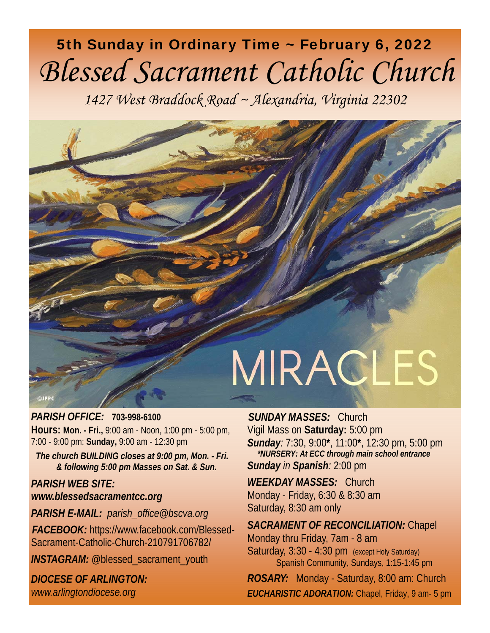# 5th Sunday in Ordinary Time ~ February 6, 2022 *Blessed Sacrament Catholic Church*

*1427 West Braddock Road ~ Alexandria, Virginia 22302* 



*PARISH OFFICE:* **703-998-6100 Hours: Mon. - Fri.,** 9:00 am - Noon, 1:00 pm - 5:00 pm, 7:00 - 9:00 pm; **Sunday,** 9:00 am - 12:30 pm

*The church BUILDING closes at 9:00 pm, Mon. - Fri. & following 5:00 pm Masses on Sat. & Sun.* 

*PARISH WEB SITE: www.blessedsacramentcc.org*

*PARISH E-MAIL: parish\_office@bscva.org FACEBOOK:* https://www.facebook.com/Blessed-Sacrament-Catholic-Church-210791706782/ **INSTAGRAM:** @blessed\_sacrament\_youth

*DIOCESE OF ARLINGTON: www.arlingtondiocese.org*

*SUNDAY MASSES:* Church Vigil Mass on **Saturday:** 5:00 pm *Sunday:* 7:30, 9:00**\***, 11:00**\***, 12:30 pm, 5:00 pm  *\*NURSERY: At ECC through main school entrance Sunday in Spanish:* 2:00 pm

*WEEKDAY MASSES:* Church Monday - Friday, 6:30 & 8:30 am Saturday, 8:30 am only

*SACRAMENT OF RECONCILIATION:* Chapel Monday thru Friday, 7am - 8 am Saturday, 3:30 - 4:30 pm (except Holy Saturday) Spanish Community, Sundays, 1:15-1:45 pm

*ROSARY:* Monday - Saturday, 8:00 am: Church *EUCHARISTIC ADORATION:* Chapel, Friday, 9 am- 5 pm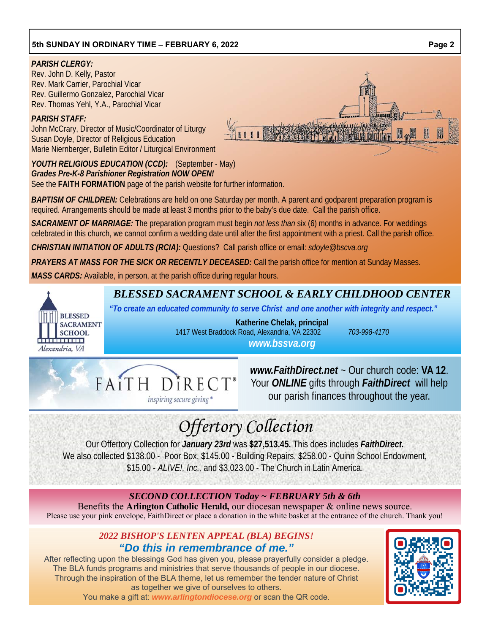#### *PARISH CLERGY:*

Rev. John D. Kelly, Pastor Rev. Mark Carrier, Parochial Vicar Rev. Guillermo Gonzalez, Parochial Vicar Rev. Thomas Yehl, Y.A., Parochial Vicar

#### *PARISH STAFF:*

**BLESSED SACRAMENT SCHOOL THEFT** Alexandria, VA

John McCrary, Director of Music/Coordinator of Liturgy Susan Doyle, Director of Religious Education Marie Niernberger, Bulletin Editor / Liturgical Environment

*YOUTH RELIGIOUS EDUCATION (CCD):* (September - May) *Grades Pre-K-8 Parishioner Registration NOW OPEN!* See the **FAITH FORMATION** page of the parish website for further information.

*BAPTISM OF CHILDREN:* Celebrations are held on one Saturday per month. A parent and godparent preparation program is required. Arrangements should be made at least 3 months prior to the baby's due date. Call the parish office.

*SACRAMENT OF MARRIAGE:* The preparation program must begin *not less than* six (6) months in advance. For weddings celebrated in this church, we cannot confirm a wedding date until after the first appointment with a priest. Call the parish office.

*CHRISTIAN INITIATION OF ADULTS (RCIA):* Questions? Call parish office or email: *sdoyle@bscva.org* 

*PRAYERS AT MASS FOR THE SICK OR RECENTLY DECEASED:* Call the parish office for mention at Sunday Masses.

*MASS CARDS:* Available, in person, at the parish office during regular hours.

FAITH DIRECT®

inspiring secure giving  $^{\circ}$ 

## *BLESSED SACRAMENT SCHOOL & EARLY CHILDHOOD CENTER*

*"To create an educated community to serve Christ and one another with integrity and respect."* 

**Katherine Chelak, principal**  1417 West Braddock Road, Alexandria, VA 22302 *703-998-4170 www.bssva.org*

*www.FaithDirect.net* ~ Our church code: **VA 12**. Your *ONLINE* gifts through *FaithDirect* will help our parish finances throughout the year.

# *Offertory Collection*

Our Offertory Collection for *January 23rd* was **\$27,513.45.** This does includes *FaithDirect.*  We also collected \$138.00 - Poor Box, \$145.00 - Building Repairs, \$258.00 - Quinn School Endowment, \$15.00 - *ALIVE!, Inc.,* and \$3,023.00 - The Church in Latin America.

### *SECOND COLLECTION Today ~ FEBRUARY 5th & 6th*

Benefits the **Arlington Catholic Herald,** our diocesan newspaper & online news source. Please use your pink envelope, FaithDirect or place a donation in the white basket at the entrance of the church. Thank you!

## *2022 BISHOP'S LENTEN APPEAL (BLA) BEGINS! "Do this in remembrance of me."*

After reflecting upon the blessings God has given you, please prayerfully consider a pledge. The BLA funds programs and ministries that serve thousands of people in our diocese. Through the inspiration of the BLA theme, let us remember the tender nature of Christ as together we give of ourselves to others. You make a gift at: *www.arlingtondiocese.org* or scan the QR code.



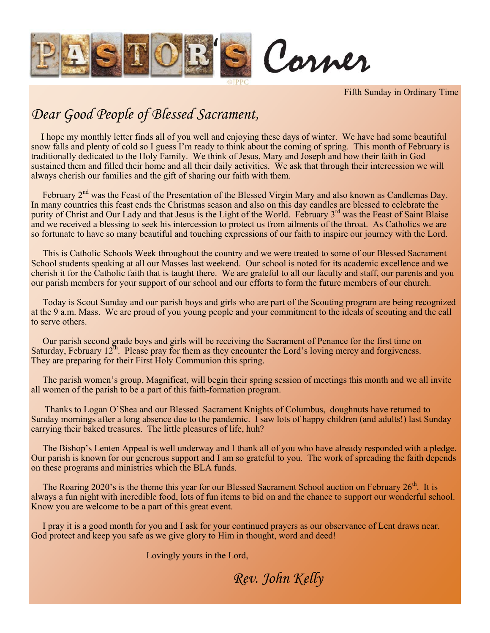

Fifth Sunday in Ordinary Time

## *Dear Good People of Blessed Sacrament,*

 I hope my monthly letter finds all of you well and enjoying these days of winter. We have had some beautiful snow falls and plenty of cold so I guess I'm ready to think about the coming of spring. This month of February is traditionally dedicated to the Holy Family. We think of Jesus, Mary and Joseph and how their faith in God sustained them and filled their home and all their daily activities. We ask that through their intercession we will always cherish our families and the gift of sharing our faith with them.

February 2<sup>nd</sup> was the Feast of the Presentation of the Blessed Virgin Mary and also known as Candlemas Day. In many countries this feast ends the Christmas season and also on this day candles are blessed to celebrate the purity of Christ and Our Lady and that Jesus is the Light of the World. February 3<sup>rd</sup> was the Feast of Saint Blaise and we received a blessing to seek his intercession to protect us from ailments of the throat. As Catholics we are so fortunate to have so many beautiful and touching expressions of our faith to inspire our journey with the Lord.

 This is Catholic Schools Week throughout the country and we were treated to some of our Blessed Sacrament School students speaking at all our Masses last weekend. Our school is noted for its academic excellence and we cherish it for the Catholic faith that is taught there. We are grateful to all our faculty and staff, our parents and you our parish members for your support of our school and our efforts to form the future members of our church.

 Today is Scout Sunday and our parish boys and girls who are part of the Scouting program are being recognized at the 9 a.m. Mass. We are proud of you young people and your commitment to the ideals of scouting and the call to serve others.

 Our parish second grade boys and girls will be receiving the Sacrament of Penance for the first time on Saturday, February  $12^{th}$ . Please pray for them as they encounter the Lord's loving mercy and forgiveness. They are preparing for their First Holy Communion this spring.

 The parish women's group, Magnificat, will begin their spring session of meetings this month and we all invite all women of the parish to be a part of this faith-formation program.

 Thanks to Logan O'Shea and our Blessed Sacrament Knights of Columbus, doughnuts have returned to Sunday mornings after a long absence due to the pandemic. I saw lots of happy children (and adults!) last Sunday carrying their baked treasures. The little pleasures of life, huh?

 The Bishop's Lenten Appeal is well underway and I thank all of you who have already responded with a pledge. Our parish is known for our generous support and I am so grateful to you. The work of spreading the faith depends on these programs and ministries which the BLA funds.

The Roaring 2020's is the theme this year for our Blessed Sacrament School auction on February  $26<sup>th</sup>$ . It is always a fun night with incredible food, lots of fun items to bid on and the chance to support our wonderful school. Know you are welcome to be a part of this great event.

 I pray it is a good month for you and I ask for your continued prayers as our observance of Lent draws near. God protect and keep you safe as we give glory to Him in thought, word and deed!

Lovingly yours in the Lord,

*Rev. John Kelly*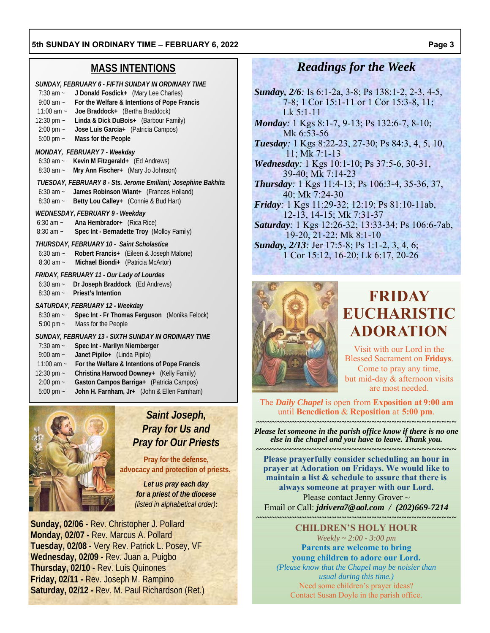### **MASS INTENTIONS**

| SUNDAY, FEBRUARY 6 - FIFTH SUNDAY IN ORDINARY TIME<br>J Donald Fosdick+ (Mary Lee Charles)<br>$7:30$ am $\sim$<br>For the Welfare & Intentions of Pope Francis<br>$9:00$ am $\sim$<br>Joe Braddock+ (Bertha Braddock)<br>11:00 am $\sim$<br>Linda & Dick DuBois+ (Barbour Family)<br>12:30 pm $\sim$<br>Jose Luis Garcia+ (Patricia Campos)<br>$2:00 \text{ pm}$ ~<br>5:00 pm $\sim$<br>Mass for the People |  |
|-------------------------------------------------------------------------------------------------------------------------------------------------------------------------------------------------------------------------------------------------------------------------------------------------------------------------------------------------------------------------------------------------------------|--|
| MONDAY, FEBRUARY 7 - Weekday<br>6:30 am ~ Kevin M Fitzgerald+ (Ed Andrews)<br>Mry Ann Fischer+ (Mary Jo Johnson)<br>$8:30$ am $\sim$                                                                                                                                                                                                                                                                        |  |
| TUESDAY, FEBRUARY 8 - Sts. Jerome Emiliani; Josephine Bakhita<br>6:30 am ~ James Robinson Wiant+ (Frances Holland)<br>8:30 am ~ Betty Lou Calley+ (Connie & Bud Hart)                                                                                                                                                                                                                                       |  |
| WEDNESDAY, FEBRUARY 9 - Weekday<br>6:30 am ~ Ana Hembrador+ (Rica Rice)<br>Spec Int - Bernadette Troy (Molloy Family)<br>$8:30$ am $\sim$                                                                                                                                                                                                                                                                   |  |
| THURSDAY, FEBRUARY 10 - Saint Scholastica<br>6:30 am ~ Robert Francis+ (Eileen & Joseph Malone)<br>8:30 am ~ Michael Biondi+ (Patricia McArtor)                                                                                                                                                                                                                                                             |  |
| FRIDAY, FEBRUARY 11 - Our Lady of Lourdes<br>6:30 am ~ Dr Joseph Braddock (Ed Andrews)<br>8:30 am ~ Priest's Intention                                                                                                                                                                                                                                                                                      |  |
| SATURDAY, FEBRUARY 12 - Weekday<br>$8:30$ am $\sim$<br>Spec Int - Fr Thomas Ferguson (Monika Felock)<br>5:00 pm ~ Mass for the People                                                                                                                                                                                                                                                                       |  |
| SUNDAY, FEBRUARY 13 - SIXTH SUNDAY IN ORDINARY TIME<br>Spec Int - Marilyn Niernberger<br>$7:30$ am $\sim$<br>Janet Pipilo+ (Linda Pipilo)<br>$9:00$ am $\sim$<br>11:00 am ~ For the Welfare & Intentions of Pope Francis<br>Christina Hamusaal Doumau, $\left V_{\text{ell}}\right $ , Eamily<br>$10.20 \text{ mm}$                                                                                         |  |

- 12:30 pm ~ **Christina Harwood Downey+** (Kelly Family)
- 2:00 pm ~ **Gaston Campos Barriga+** (Patricia Campos)
- 5:00 pm ~ **John H. Farnham, Jr+** (John & Ellen Farnham)



## *Saint Joseph, Pray for Us and Pray for Our Priests*

**Pray for the defense, advocacy and protection of priests.** 

> *Let us pray each day for a priest of the diocese (listed in alphabetical order):*

**Sunday, 02/06 -** Rev. Christopher J. Pollard **Monday, 02/07 -** Rev. Marcus A. Pollard **Tuesday, 02/08 -** Very Rev. Patrick L. Posey, VF **Wednesday, 02/09 -** Rev. Juan a. Puigbo **Thursday, 02/10 -** Rev. Luis Quinones **Friday, 02/11 -** Rev. Joseph M. Rampino **Saturday, 02/12 -** Rev. M. Paul Richardson (Ret.)

## *Readings for the Week*

- *Sunday, 2/6:* Is 6:1-2a, 3-8; Ps 138:1-2, 2-3, 4-5, 7-8; 1 Cor 15:1-11 or 1 Cor 15:3-8, 11; Lk 5:1-11
- *Monday:* 1 Kgs 8:1-7, 9-13; Ps 132:6-7, 8-10; Mk 6:53-56

*Tuesday:* 1 Kgs 8:22-23, 27-30; Ps 84:3, 4, 5, 10, 11; Mk 7:1-13

- *Wednesday:* 1 Kgs 10:1-10; Ps 37:5-6, 30-31, 39-40; Mk 7:14-23
- *Thursday:* 1 Kgs 11:4-13; Ps 106:3-4, 35-36, 37, 40; Mk 7:24-30

*Friday:* 1 Kgs 11:29-32; 12:19; Ps 81:10-11ab, 12-13, 14-15; Mk 7:31-37

*Saturday:* 1 Kgs 12:26-32; 13:33-34; Ps 106:6-7ab, 19-20, 21-22; Mk 8:1-10

*Sunday, 2/13:* Jer 17:5-8; Ps 1:1-2, 3, 4, 6; 1 Cor 15:12, 16-20; Lk 6:17, 20-26



## **FRIDAY EUCHARISTIC ADORATION**

Visit with our Lord in the Blessed Sacrament on **Fridays**. Come to pray any time, but mid-day & afternoon visits are most needed.

The *Daily Chapel* is open from **Exposition at 9:00 am**  until **Benediction** & **Reposition** at **5:00 pm***.* 

*~~~~~~~~~~~~~~~~~~~~~~~~~~~~~~~~~~~~~~~~ Please let someone in the parish office know if there is no one else in the chapel and you have to leave. Thank you.* 

*~~~~~~~~~~~~~~~~~~~~~~~~~~~~~~~~~~~~~~~~*  **Please prayerfully consider scheduling an hour in prayer at Adoration on Fridays. We would like to maintain a list & schedule to assure that there is always someone at prayer with our Lord.**  Please contact Jenny Grover ~ Email or Call: *jdrivera7@aol.com / (202)669-7214* 

*~~~~~~~~~~~~~~~~~~~~~~~~~~~~~~~~~~~~~~~~*  **CHILDREN'S HOLY HOUR**  *Weekly ~ 2:00 - 3:00 pm*  **Parents are welcome to bring** 

**young children to adore our Lord.** 

*(Please know that the Chapel may be noisier than usual during this time.)*  Need some children's prayer ideas? Contact Susan Doyle in the parish office.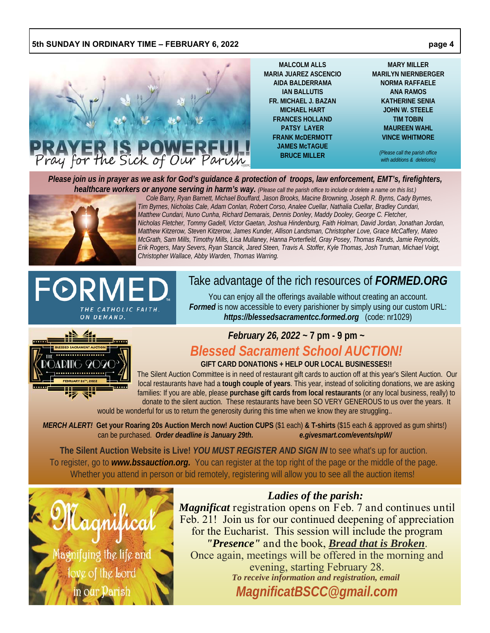

**MALCOLM ALLS MARIA JUAREZ ASCENCIO AIDA BALDERRAMA IAN BALLUTIS FR. MICHAEL J. BAZAN MICHAEL HART FRANCES HOLLAND PATSY LAYER FRANK McDERMOTT JAMES McTAGUE BRUCE MILLER** 

**MARY MILLER MARILYN NIERNBERGER NORMA RAFFAELE ANA RAMOS KATHERINE SENIA JOHN W. STEELE TIM TOBIN MAUREEN WAHL VINCE WHITMORE** 

> *(Please call the parish office with additions & deletions)*

*Please join us in prayer as we ask for God's guidance & protection of troops, law enforcement, EMT's, firefighters, healthcare workers or anyone serving in harm's way. (Please call the parish office to include or delete a name on this list.)*



 *Cole Barry, Ryan Barnett, Michael Bouffard, Jason Brooks, Macine Browning, Joseph R. Byrns, Cady Byrnes, Tim Byrnes, Nicholas Cale, Adam Conlan, Robert Corso, Analee Cuellar, Nathalia Cuellar, Bradley Cundari, Matthew Cundari, Nuno Cunha, Richard Demarais, Dennis Donley, Maddy Dooley, George C. Fletcher, Nicholas Fletcher, Tommy Gadell, Victor Gaetan, Joshua Hindenburg, Faith Holman, David Jordan, Jonathan Jordan, Matthew Kitzerow, Steven Kitzerow, James Kunder, Allison Landsman, Christopher Love, Grace McCaffery, Mateo McGrath, Sam Mills, Timothy Mills, Lisa Mullaney, Hanna Porterfield, Gray Posey, Thomas Rands, Jamie Reynolds, Erik Rogers, Mary Severs, Ryan Stancik, Jared Steen, Travis A. Stoffer, Kyle Thomas, Josh Truman, Michael Voigt, Christopher Wallace, Abby Warden, Thomas Warring.* 

# THE CATHOLIC FAITH. ON DEMAND.

## Take advantage of the rich resources of *FORMED.ORG*

You can enjoy all the offerings available without creating an account. *Formed* is now accessible to every parishioner by simply using our custom URL: *https://blessedsacramentcc.formed.org* (code: nr1029)



## *February 26, 2022* **~ 7 pm - 9 pm ~**

## *Blessed Sacrament School AUCTION!*

**GIFT CARD DONATIONS + HELP OUR LOCAL BUSINESSES!!**

 The Silent Auction Committee is in need of restaurant gift cards to auction off at this year's Silent Auction. Our local restaurants have had a **tough couple of years**. This year, instead of soliciting donations, we are asking families: If you are able, please **purchase gift cards from local restaurants** (or any local business, really) to donate to the silent auction. These restaurants have been SO VERY GENEROUS to us over the years. It

would be wonderful for us to return the generosity during this time when we know they are struggling..

*MERCH ALERT!* **Get your Roaring 20s Auction Merch now! Auction CUPS** (\$1 each) **& T-shirts** (\$15 each & approved as gum shirts!) can be purchased. *Order deadline is January 29th. e.givesmart.com/events/npW/* 

**The Silent Auction Website is Live!** *YOU MUST REGISTER AND SIGN IN* to see what's up for auction. To register, go to *www.bssauction.org.* You can register at the top right of the page or the middle of the page. Whether you attend in person or bid remotely, registering will allow you to see all the auction items!



## *Ladies of the parish:*

*Magnificat* registration opens on Feb. 7 and continues until Feb. 21! Join us for our continued deepening of appreciation for the Eucharist. This session will include the program *"Presence"* and the book, *Bread that is Broken*. Once again, meetings will be offered in the morning and evening, starting February 28. *To receive information and registration, email MagnificatBSCC@gmail.com*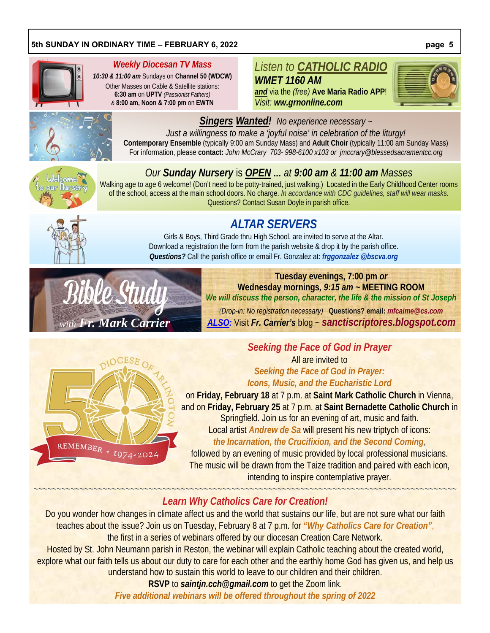

#### *Weekly Diocesan TV Mass*

*10:30 & 11:00 am* Sundays on **Channel 50 (WDCW)**  Other Masses on Cable & Satellite stations: **6:30 am** on **UPTV** *(Passionist Fathers) &* **8:00 am, Noon & 7:00 pm** on **EWTN**

## *Listen to CATHOLIC RADIO*

*WMET 1160 AM and* via the *(free)* **Ave Maria Radio APP**! *Visit: ww.grnonline.com*





## *Singers Wanted! No experience necessary ~*

*Just a willingness to make a 'joyful noise' in celebration of the liturgy!*  **Contemporary Ensemble** (typically 9:00 am Sunday Mass) and **Adult Choir** (typically 11:00 am Sunday Mass) For information, please **contact:** *John McCrary 703- 998-6100 x103 or jmccrary@blessedsacramentcc.org* 

## *Our Sunday Nursery* is *OPEN ... at 9:00 am & 11:00 am Masses*

Walking age to age 6 welcome! (Don't need to be potty-trained, just walking.) Located in the Early Childhood Center rooms of the school, access at the main school doors. No charge. *In accordance with CDC guidelines, staff will wear masks.*  Questions? Contact Susan Doyle in parish office.



## *ALTAR SERVERS*

Girls & Boys, Third Grade thru High School, are invited to serve at the Altar. Download a registration the form from the parish website & drop it by the parish office. *Questions?* Call the parish office or email Fr. Gonzalez at: *frggonzalez @bscva.org*



**Tuesday evenings, 7:00 pm** *or*  **Wednesday mornings***, 9:15 am ~* **MEETING ROOM**  *We will discuss the person, character, the life & the mission of St Joseph* 

*(Drop-in: No registration necessary)* **Questions? email:** *mfcaime@cs.com with Fr. Mark Carrier ALSO:* Visit *Fr. Carrier's* blog ~ *sanctiscriptores.blogspot.com*



## *Seeking the Face of God in Prayer*

All are invited to *Seeking the Face of God in Prayer: Icons, Music, and the Eucharistic Lord*

on **Friday, February 18** at 7 p.m. at **Saint Mark Catholic Church** in Vienna, and on **Friday, February 25** at 7 p.m. at **Saint Bernadette Catholic Church** in Springfield. Join us for an evening of art, music and faith. Local artist *Andrew de Sa* will present his new triptych of icons:

*the Incarnation, the Crucifixion, and the Second Coming*,

followed by an evening of music provided by local professional musicians. The music will be drawn from the Taize tradition and paired with each icon, intending to inspire contemplative prayer.

### ~~~~~~~~~~~~~~~~~~~~~~~~~~~~~~~~~~~~~~~~~~~~~~~~~~~~~~~~~~~~~~~~~~~~~~~~~~~~~~~~~~~~~~~~~~~~ *Learn Why Catholics Care for Creation!*

Do you wonder how changes in climate affect us and the world that sustains our life, but are not sure what our faith teaches about the issue? Join us on Tuesday, February 8 at 7 p.m. for *"Why Catholics Care for Creation"*, the first in a series of webinars offered by our diocesan Creation Care Network.

Hosted by St. John Neumann parish in Reston, the webinar will explain Catholic teaching about the created world, explore what our faith tells us about our duty to care for each other and the earthly home God has given us, and help us understand how to sustain this world to leave to our children and their children.

> **RSVP** to *saintjn.cch@gmail.com* to get the Zoom link. *Five additional webinars will be offered throughout the spring of 2022*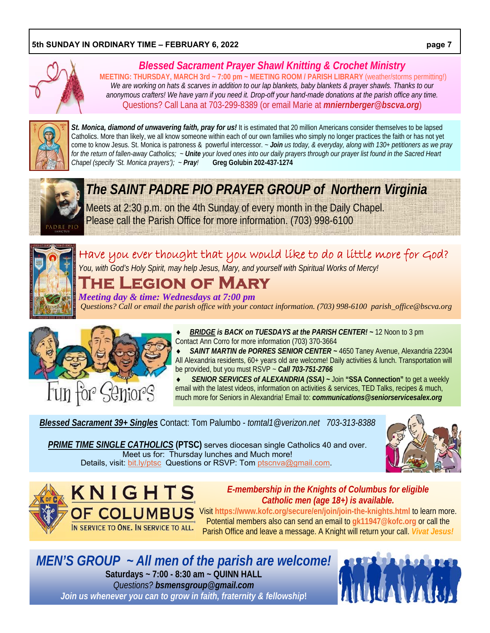

## *Blessed Sacrament Prayer Shawl Knitting & Crochet Ministry*

**MEETING: THURSDAY, MARCH 3rd ~ 7:00 pm ~ MEETING ROOM / PARISH LIBRARY** (weather/storms permitting!) *We are working on hats & scarves in addition to our lap blankets, baby blankets & prayer shawls. Thanks to our anonymous crafters! We have yarn if you need it. Drop-off your hand-made donations at the parish office any time.* Questions? Call Lana at 703-299-8389 (or email Marie at *mniernberger@bscva.org*)



St. Monica, diamond of unwavering faith, pray for us! It is estimated that 20 million Americans consider themselves to be lapsed Catholics. More than likely, we all know someone within each of our own families who simply no longer practices the faith or has not yet come to know Jesus. St. Monica is patroness & powerful intercessor. *~ Join us today, & everyday, along with 130+ petitioners as we pray for the return of fallen-away Catholics; ~ Unite your loved ones into our daily prayers through our prayer list found in the Sacred Heart Chapel (specify 'St. Monica prayers'); ~ Pray!* **Greg Golubin 202-437-1274** 



*The SAINT PADRE PIO PRAYER GROUP of Northern Virginia*  Meets at 2:30 p.m. on the 4th Sunday of every month in the Daily Chapel. Please call the Parish Office for more information. (703) 998-6100



## Have you ever thought that you would like to do a little more for God? *You, with God's Holy Spirit, may help Jesus, Mary, and yourself with Spiritual Works of Mercy!*

## **The Legion of Mary**

*Meeting day & time: Wednesdays at 7:00 pm Questions? Call or email the parish office with your contact information. (703) 998-6100 parish\_office@bscva.org*



 *BRIDGE is BACK on TUESDAYS at the PARISH CENTER! ~* 12 Noon to 3 pm Contact Ann Corro for more information (703) 370-3664

 *SAINT MARTIN de PORRES SENIOR CENTER ~* 4650 Taney Avenue, Alexandria 22304 All Alexandria residents, 60+ years old are welcome! Daily activities & lunch. Transportation will be provided, but you must RSVP ~ *Call 703-751-2766* 

 *SENIOR SERVICES of ALEXANDRIA (SSA) ~* Join **"SSA Connection"** to get a weekly email with the latest videos, information on activities & services, TED Talks, recipes & much, much more for Seniors in Alexandria! Email to: *communications@seniorservicesalex.org* 

*Blessed Sacrament 39+ Singles* Contact: Tom Palumbo - *tomtal1@verizon.net 703-313-8388* 

*PRIME TIME SINGLE CATHOLICS* **(PTSC)** serves diocesan single Catholics 40 and over. Meet us for: Thursday lunches and Much more! Details, visit: bit.ly/ptsc Questions or RSVP: Tom ptscnva@gmail.com.





*E-membership in the Knights of Columbus for eligible Catholic men (age 18+) is available.* 

OF COLUMBUS Visit https://www.kofc.org/secure/en/join/join-the-knights.html to learn more. Potential members also can send an email to **gk11947@kofc.org** or call the Parish Office and leave a message. A Knight will return your call. *Vivat Jesus!* 

*MEN'S GROUP ~ All men of the parish are welcome!* **Saturdays ~ 7:00 - 8:30 am ~ QUINN HALL**  *Questions? bsmensgroup@gmail.com Join us whenever you can to grow in faith, fraternity & fellowship***!**

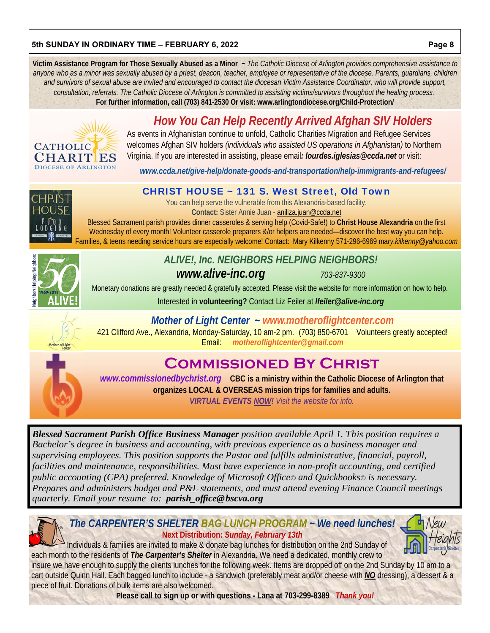**Victim Assistance Program for Those Sexually Abused as a Minor** *~ The Catholic Diocese of Arlington provides comprehensive assistance to anyone who as a minor was sexually abused by a priest, deacon, teacher, employee or representative of the diocese. Parents, guardians, children and survivors of sexual abuse are invited and encouraged to contact the diocesan Victim Assistance Coordinator, who will provide support, consultation, referrals. The Catholic Diocese of Arlington is committed to assisting victims/survivors throughout the healing process.*  **For further information, call (703) 841-2530 Or visit: www.arlingtondiocese.org/Child-Protection/** 

## *How You Can Help Recently Arrived Afghan SIV Holders*



As events in Afghanistan continue to unfold, Catholic Charities Migration and Refugee Services welcomes Afghan SIV holders *(individuals who assisted US operations in Afghanistan)* to Northern Virginia. If you are interested in assisting, please email*: lourdes.iglesias@ccda.net* or visit:

*www.ccda.net/give-help/donate-goods-and-transportation/help-immigrants-and-refugees/*

## CHRIST HOUSE ~ 131 S. West Street, Old Town

You can help serve the vulnerable from this Alexandria-based facility. **Contact:** Sister Annie Juan - aniliza.juan@ccda.net

Blessed Sacrament parish provides dinner casseroles & serving help (Covid-Safe!) to **Christ House Alexandria** on the first Wednesday of every month! Volunteer casserole preparers &/or helpers are needed—discover the best way you can help. Families, & teens needing service hours are especially welcome! Contact: Mary Kilkenny 571-296-6969 ma*ry.kilkenny@yahoo.com*



*ALIVE!, Inc. NEIGHBORS HELPING NEIGHBORS! www.alive-inc.org 703-837-9300* 

Monetary donations are greatly needed & gratefully accepted. Please visit the website for more information on how to help.

Interested in **volunteering?** Contact Liz Feiler at *lfeiler@alive-inc.org*

*Mother of Light Center* **~** *www.motheroflightcenter.com* 



## **COMMISSIONED BY CHRIST**

*www.commissionedbychrist.org* **CBC is a ministry within the Catholic Diocese of Arlington that organizes LOCAL & OVERSEAS mission trips for families and adults.** 

*VIRTUAL EVENTS NOW! Visit the website for info.* 

*Blessed Sacrament Parish Office Business Manager position available April 1. This position requires a Bachelor's degree in business and accounting, with previous experience as a business manager and supervising employees. This position supports the Pastor and fulfills administrative, financial, payroll, facilities and maintenance, responsibilities. Must have experience in non-profit accounting, and certified public accounting (CPA) preferred. Knowledge of Microsoft Office© and Quickbooks© is necessary. Prepares and administers budget and P&L statements, and must attend evening Finance Council meetings quarterly. Email your resume to: parish\_office@bscva.org* 



### *The CARPENTER'S SHELTER BAG LUNCH PROGRAM ~ We need lunches!*  **Next Distribution:** *Sunday, February 13th*

Individuals & families are invited to make & donate bag lunches for distribution on the 2nd Sunday of each month to the residents of *The Carpenter's Shelter* in Alexandria. We need a dedicated, monthly crew to

insure we have enough to supply the clients lunches for the following week. Items are dropped off on the 2nd Sunday by 10 am to a cart outside Quinn Hall. Each bagged lunch to include - a sandwich (preferably meat and/or cheese with *NO* dressing), a dessert & a piece of fruit. Donations of bulk items are also welcomed.

**Please call to sign up or with questions - Lana at 703-299-8389** *Thank you!*

 $\n *Meu*\n$